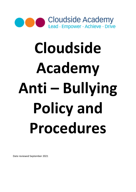

# Cloudside Academy Anti – Bullying Policy and Procedures

Date reviewed September 2021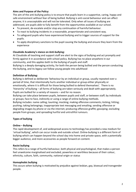# Aims and Purpose of the Policy:

The aim of the anti-bullying policy is to ensure that pupils learn in a supportive, caring, happy and safe environment without fear of being bullied. Bullying is anti-social behaviour and can affect anyone; it is unacceptable and will not be tolerated. Only when all issues of bullying are addressed, are pupils able to fully benefit from the opportunities available at our school.

- To prevent, de-escalate and/or stop any continuation of harmful behaviour.
- To react to bullying incidents in a reasonable, proportionate and consistent way.
- To safeguard pupils who have experienced bullying and to trigger sources of support for the pupils.
- To apply disciplinary sanctions to the pupil causing the bullying and ensure they learn from the experience

#### Cloudside Academy's stance on Anti-bullying:

At Cloudside all teaching and support staff are alert to the signs of bullying and act promptly and firmly against it in accordance with school policy. Bullying has no place anywhere in our community, and this applies both to the bullying of pupils and staff.

Bullying is a deeply damaging activity, for both the person being bullied and the person conducting the bullying, and its legacy can follow young people into adulthood

# Definition of Bullying:

Bullying is defined as deliberate 'behaviour by an individual or group, usually repeated over a period of time, that intentionally hurts another individual or group either physically or emotionally, where it is difficult for those being bullied to defend themselves'. There is no 'hierarchy' of bullying – all forms of bullying are taken seriously and dealt with appropriately. Pupils are bullied for a variety of reasons – and for no reason.

Bullying can take place between pupils, between pupils and staff, or between staff; by individuals or groups; face to face, indirectly or using a range of online bullying methods.

Bullying includes: name calling; taunting; mocking; making offensive comments; kicking; hitting; pushing; taking belongings; inappropriate text messaging and emailing; sending offensive or degrading images by phone or via the internet; producing offensive graffiti; gossiping; excluding people from groups; and spreading hurtful and untruthful rumours.

# Types of bullying

#### Online – Bullying

The rapid development of, and widespread access to technology has provided a new medium for 'virtual bullying', which can occur inside and outside school. Online-bullying is a different form of bullying which can happen beyond the school day into home and private space, with a potentially bigger audience, and more accessories as people forward on content.

#### Racist bullying

This refers to a range of hurtful behaviour, both physical and psychological, that makes a person feel unwelcome marginalised and excluded, powerless or worthless because of their colour, ethnicity, culture, faith, community, national origin or status

#### Homophobic bullying

This occurs when bullying is motivated by prejudice against lesbian, gay, bisexual and transgender people.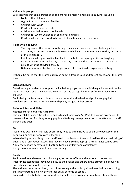# Vulnerable groups

We recognise that some groups of people maybe be more vulnerable to bullying: including:

- Looked after children
- Gypsy, Roma and traveller families
- Children with SEND
- Children from ethnic minorities
- Children entitled to free school meals
- Children for whom English is an additional language
- Children who are perceived to be gay, lesbian, bisexual or transgender.

### Roles within bullying:

- The ring leader, the person who through their social power can direct bullying activity
- Assistants/associates, who actively join in the bullying (sometimes because they are afraid of the ring leader).
- Reinforcers, who give positive feedback to the bully, perhaps by smiling or laughing
- Outsiders/by standers, who stay back or stay silent and there by appear to condone or collude with the bullying behaviour.
- Defenders, who try to stop the bullying or comfort pupils who experience bullying,

It should be noted that the same pupils can adopt different roles at different times, or at the same time.

# Signs of Bullying:

Deteriorating attendance, poor punctuality, lack of progress and diminishing achievement can be indicators that a pupil is vulnerable in some way and susceptible to or suffering already from bullying.

Pupils being bullied may also demonstrate emotional and behavioural problems, physical problems such as headaches and stomach pains, or signs of depression.

# Roles and Responsibilities:

#### Headteacher at Cloudside Academy:

Has a legal duty under the School Standards and Framework Act 1998 to draw up procedures to prevent all forms of bullying among pupils and to bring these procedures to the attention of staff, parents and pupils.

#### Staff:

Need to be aware of vulnerable pupils. They need to be sensitive to pupils who because of their behaviour or circumstances are vulnerable.

When dealing with bullying issues, staff need to understand the emotional health and wellbeing of pupils and of any deeper issues that they may have, so that appropriate strategies can be used Apply the school's behaviour and anti-bullying policy fairly and consistently Apply the school rewards and sanctions lawfully.

#### Pupils:

Pupils need to understand what bullying is, its causes, effects and methods of prevention. Pupils must accept that they have a duty to themselves and others in the prevention of bullying and taking action should it occur.

The action taken may be direct, that is intervening in the bullying situation or indirect, reporting bullying or potential bullying to another adult, at home or school.

Pupils who tolerate bullies are supporting them. Pressure from other pupils can stop bullying.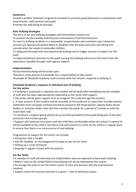# Governors:

Provide a written statement of general principles to promote good behaviour in consultation with head teacher, staff, parents and pupils.

Promote the well-being of all pupils.

# Anti- bullying Strategies

The aims of our anti-bullying strategies and intervention systems are:

To prevent and de-escalate and/stop any continuation of harmful behaviour.

To react to bullying incidents in a reasonable, proportionate and consistent way, taking into account any Special Educational Need or disability that the pupil may have and taking into consideration the needs of vulnerable children.

To safeguard the pupil who has experienced bullying and to trigger sources of support for the pupil.

To apply disciplinary sanctions to the pupil causing the bullying and ensure they learn from the experience, possibly through multi-agency support.

# Implementation:

All discovered bullying will be acted upon.

Therefore, every person at Cloudside has a responsibility to take action.

All people at Cloudside Academy need to know what the school's response to bullying is.

# Cloudside Academy's response to individual acts of bullying:

# For the victim:

• If bullying is suspected or reported, the incident will be dealt with immediately by the member of staff who has been approached by responding to the victim with support.

- The victim will be given support from an assigned TA to talk through the incident.
- A clear account of the incident will be recorded on the proforma in school that includes witness statements from all pupils involved and will be passed to the Head teacher, Deputy head, Senior leaders or inclusion leader; who will then monitor the pupils for a period of 2 weeks or until the victim feels safe.
- If necessary a support group will be set up and the possibility of the pupil being part of the play and lunch time nurture groups.

• Support will continue to be given until the child feels comfortable within the school. A named TA will be available to the child in the future and will continue to check on the child on a regular basis to ensure that there is no reoccurrence of any bullying.

Programmes of support for the victim can include:

- Giving the child a 'buddy'
- Ask the 'buddies' on the playground to keep an eye out for them.
- Setting up a 'circle of friends'
- Keeping in regular contact with the parents.

# For the 'bully'

- A member of staff will interview the child/children who are reported to have been bullying.
- Make it clear to the child/children that bullying will not be tolerated at this school.

• Encourage the bully to see the victim's point of view and discover why the pupil became involved.

• Explain clearly the sanction and why it is given – refer to behaviour policy.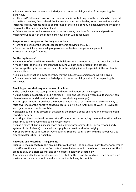• Explain clearly that the sanction is designed to deter the child/children from repeating this behaviour.

• If the child/children are involved in severe or persistent bullying then this needs to be reported to the Head teacher, Deputy head, Senior leaders or inclusion leader, for further action and the incidents logged. Parents need to be informed of the child's continuing behaviour and invited to discuss it with a senior member of staff.

• If there are no future improvements in the behaviour, sanctions for severe and persistent misbehaviour as part of the school behaviour policy will be followed.

# Programmes of support for the bully can include:

- Remind the child of the school's stance towards bullying behaviour.
- Refer the pupil for some small group work on self-esteem, anger management.
- Meeting with pupil's parents

#### For the 'bystanders'

- A member of staff will interview the child/children who are reported to have been bystanders.
- Make it clear to the child/children that bullying will not be tolerated at this school.
- Encourage the bystander to see their role in the bullying incident especially if the incident is online bullying.
- Explain clearly that as a bystander they may be subject to a sanction and why it is given.
- Explain clearly that the sanction is designed to deter the child/children from repeating this behaviour.

#### Providing an anti-bullying environment in school:

- The school leadership team promotes and open and honest anti-bullying ethos.
- Using curriculum opportunities (in particular, PSHE and Citizenship where pupils and staff can discuss issues around diversity and draw out anti-bullying messages)
- Using opportunities throughout the school calendar and at certain times of the school day to raise awareness of the negative consequences of bullying e.g. Anti-bullying Week in November each year, whole school assemblies.
- Engaging pupils in the process of developing the school's policy and have an honest and open reporting system.
- Looking at the school environment, at staff supervision patterns, key times and locations where pupils may be more vulnerable to bullying incidents.
- Using a range of disciplinary sanctions and learning programmes (e.g. Peer mentors, buddy system, circle of friends) to deal with any pupils who are found to be bullying.
- Support from the Local Authority Anti bullying Support Team, liaison with the school PCSO to establish Safer School Partnership.

#### Reporting and Recording Arrangements

Pupils are encouraged to report any incidents of bullying. The can speak to any teacher or member of staff in confidence or use the 'Worry Box' in each classroom in the school to leave a note. This is emptied daily by a class teacher and any incidents dealt with accordingly.

Any incidents of bullying are also recorded by staff on the report form which is then passed onto the Inclusion Leader to monitor and put in the Anti-bullying Record File.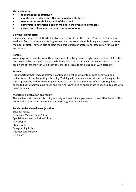This enables us:

- to manage cases effectively
- monitor and evaluate the effectiveness of our strategies
- celebrate the anti-bullying work of the school
- demonstrate defensible decision making in the event of a compliant
- engage and inform multi-agency teams as necessary

#### Bullying Against staff:

Bullying can happen to staff, whether by pupils, parents or other staff. Members of the school staff who feel that they are suffering from or are concerned about bullying, can speak to a senior member of staff. They can also contact their trade union or professional association for support and advice.

#### Parents

We engage with parents promptly when issues of bullying come to light, whether their child is the one being bullied or the one doing the bullying. We have a complaints procedure which parents are aware of that they can use if they feel that their issue is not being dealt with correctly.

#### **Training**

It is important that teaching staff feel confident in dealing with anti-bullying behaviour and incidents, and in implementing this policy. Training will be available for all staff, including lunchtime supervisors, and for relevant governors. We ensure that members of staff are regularly consulted as to their training needs and training is provided as appropriate to keep up to date with developments.

#### Monitoring, evaluation and review

The academy will review this policy annually and assess its implementation and effectiveness. The policy will be promoted and implemented throughout the academy.

#### Policies to be viewed in conjunction:

Equality Policy. Behaviour Management Policy. Special Needs and Inclusion Policy. PSHE Policy SMSC Policy Safeguarding Policy Internet Safety Policy ICT Policy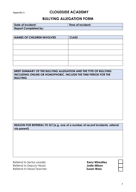# Appendix 1: **CLOUDSIDE ACADEMY**

# BULLYING ALLEGATION FORM

| Date of Incident:           | Time of Incident: |
|-----------------------------|-------------------|
| <b>Report Completed by:</b> |                   |

| <b>NAMES OF CHILDREN INVOLVED</b> | <b>CLASS</b> |
|-----------------------------------|--------------|
|                                   |              |
|                                   |              |
|                                   |              |
|                                   |              |
|                                   |              |
|                                   |              |
|                                   |              |
|                                   |              |

# BRIEF SUMMARY OF THE BULLYING ALLEGATION AND THE TYPE OF BULLYING INCLUDING ONLINE OR HOMOPHOBIC. INCLUDE THE TIME PERIOD FOR THE BULLYING

# REASON FOR REFERRAL TO SLT (e.g. one of a number of recent incidents, referral via parent)

Referral to Senior Leader: Kerry Wheatley Referral to Deputy Head: **Secure 19 and 19 and 19 and 19 and 19 and 19 and 19 and 19 and 19 and 19 and 19 and 19 and 19 and 19 and 19 and 19 and 19 and 19 and 19 and 19 and 19 and 19 and 19 and 19 and 19 and 19 and 19 and** Referral to Head Teacher: Susan Wass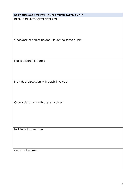# BRIEF SUMMARY OF RESULTING ACTION TAKEN BY SLT DETAILS OF ACTION TO BE TAKEN

Checked for earlier incidents involving same pupils

Notified parents/carers

Individual discussion with pupils involved

Group discussion with pupils involved

Notified class teacher

Medical treatment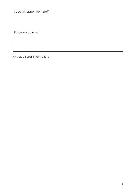Specific support from staff

Follow up date set

Any additional information: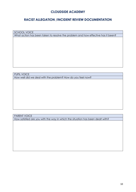# CLOUDSIDE ACADEMY

# RACIST ALLEGATION /INCIDENT REVIEW DOCUMENTATION

SCHOOL VOICE

What action has been taken to resolve the problem and how effective has it been?

PUPIL VOICE

How well did we deal with the problem? How do you feel now?

PARENT VOICE

How satisfied are you with the way in which the situation has been dealt with?